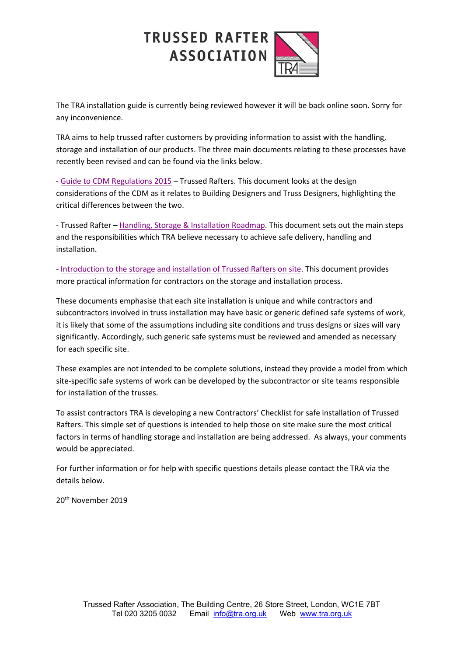## **TRUSSED RAFTER ASSOCIATION**

The TRA installation guide is currently being reviewed however it will be back online soon. Sorry for any inconvenience.

TRA aims to help trussed rafter customers by providing information to assist with the handling, storage and installation of our products. The three main documents relating to these processes have recently been revised and can be found via the links below.

- [Guide to CDM Regulations 2015](https://www.tra.org.uk/wp-content/uploads/dlm_uploads/di_0001_2019_10_-guide-to-cdm-regulations-2015_trussed-rafters.pdf?utm_medium=email&utm_campaign=TRA%20November%20E-Newsletter&utm_content=TRA%20November%20E-Newsletter+CID_c9daf912d6881d1feac53ac88e5e5bd3&utm_source=Campaign%20Monitor%20new&utm_term=Download%20the%20Guide%20to%20CDM%20regulations%202015%20%20trussed%20rafters) – Trussed Rafters. This document looks at the design considerations of the CDM as it relates to Building Designers and Truss Designers, highlighting the critical differences between the two.

- Trussed Rafter – [Handling, Storage & Installation Roadmap.](https://www.tra.org.uk/wp-content/uploads/dlm_uploads/di_0003_2019_10_tr-handling-storage-installation-roadmap.pdf?utm_medium=email&utm_campaign=TRA%20November%20E-Newsletter&utm_content=TRA%20November%20E-Newsletter+CID_c9daf912d6881d1feac53ac88e5e5bd3&utm_source=Campaign%20Monitor%20new&utm_term=Download%20Trussed%20rafter%20%20handling%20storage%20%20installation%20roadmap) This document sets out the main steps and the responsibilities which TRA believe necessary to achieve safe delivery, handling and installation.

- [Introduction to the storage and installation of Trussed Rafters on site.](https://www.tra.org.uk/wp-content/uploads/dlm_uploads/di_0002_2019_11_intro-storage-installation-tr-on-site.pdf?utm_medium=email&utm_campaign=TRA%20November%20E-Newsletter&utm_content=TRA%20November%20E-Newsletter+CID_c9daf912d6881d1feac53ac88e5e5bd3&utm_source=Campaign%20Monitor%20new&utm_term=Download%20the%20Introduction%20to%20the%20storage%20and%20installation%20of%20trussed%20rafters%20on%20site) This document provides more practical information for contractors on the storage and installation process.

These documents emphasise that each site installation is unique and while contractors and subcontractors involved in truss installation may have basic or generic defined safe systems of work, it is likely that some of the assumptions including site conditions and truss designs or sizes will vary significantly. Accordingly, such generic safe systems must be reviewed and amended as necessary for each specific site.

These examples are not intended to be complete solutions, instead they provide a model from which site-specific safe systems of work can be developed by the subcontractor or site teams responsible for installation of the trusses.

To assist contractors TRA is developing a new Contractors' Checklist for safe installation of Trussed Rafters. This simple set of questions is intended to help those on site make sure the most critical factors in terms of handling storage and installation are being addressed. As always, your comments would be appreciated.

For further information or for help with specific questions details please contact the TRA via the details below.

20th November 2019